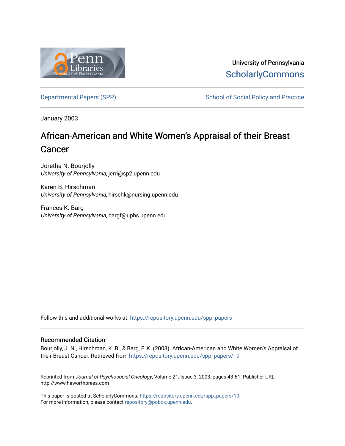

University of Pennsylvania **ScholarlyCommons** 

[Departmental Papers \(SPP\)](https://repository.upenn.edu/spp_papers) School of Social Policy and Practice

January 2003

# African-American and White Women's Appraisal of their Breast Cancer

Joretha N. Bourjolly University of Pennsylvania, jerri@sp2.upenn.edu

Karen B. Hirschman University of Pennsylvania, hirschk@nursing.upenn.edu

Frances K. Barg University of Pennsylvania, bargf@uphs.upenn.edu

Follow this and additional works at: [https://repository.upenn.edu/spp\\_papers](https://repository.upenn.edu/spp_papers?utm_source=repository.upenn.edu%2Fspp_papers%2F19&utm_medium=PDF&utm_campaign=PDFCoverPages) 

# Recommended Citation

Bourjolly, J. N., Hirschman, K. B., & Barg, F. K. (2003). African-American and White Women's Appraisal of their Breast Cancer. Retrieved from [https://repository.upenn.edu/spp\\_papers/19](https://repository.upenn.edu/spp_papers/19?utm_source=repository.upenn.edu%2Fspp_papers%2F19&utm_medium=PDF&utm_campaign=PDFCoverPages) 

Reprinted from Journal of Psychosocial Oncology, Volume 21, Issue 3, 2003, pages 43-61. Publisher URL: http://www.haworthpress.com

This paper is posted at ScholarlyCommons. [https://repository.upenn.edu/spp\\_papers/19](https://repository.upenn.edu/spp_papers/19)  For more information, please contact [repository@pobox.upenn.edu.](mailto:repository@pobox.upenn.edu)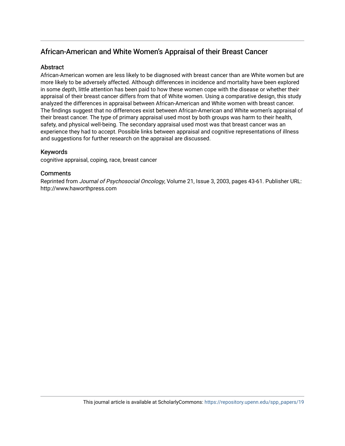# African-American and White Women's Appraisal of their Breast Cancer

# Abstract

African-American women are less likely to be diagnosed with breast cancer than are White women but are more likely to be adversely affected. Although differences in incidence and mortality have been explored in some depth, little attention has been paid to how these women cope with the disease or whether their appraisal of their breast cancer differs from that of White women. Using a comparative design, this study analyzed the differences in appraisal between African-American and White women with breast cancer. The findings suggest that no differences exist between African-American and White women's appraisal of their breast cancer. The type of primary appraisal used most by both groups was harm to their health, safety, and physical well-being. The secondary appraisal used most was that breast cancer was an experience they had to accept. Possible links between appraisal and cognitive representations of illness and suggestions for further research on the appraisal are discussed.

# Keywords

cognitive appraisal, coping, race, breast cancer

# **Comments**

Reprinted from Journal of Psychosocial Oncology, Volume 21, Issue 3, 2003, pages 43-61. Publisher URL: http://www.haworthpress.com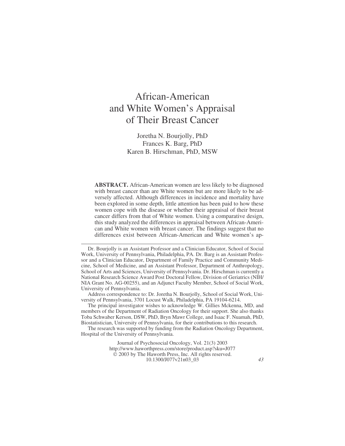# African-American and White Women's Appraisal of Their Breast Cancer

Joretha N. Bourjolly, PhD Frances K. Barg, PhD Karen B. Hirschman, PhD, MSW

**ABSTRACT.** African-American women are less likely to be diagnosed with breast cancer than are White women but are more likely to be adversely affected. Although differences in incidence and mortality have been explored in some depth, little attention has been paid to how these women cope with the disease or whether their appraisal of their breast cancer differs from that of White women. Using a comparative design, this study analyzed the differences in appraisal between African-American and White women with breast cancer. The findings suggest that no differences exist between African-American and White women's ap-

Address correspondence to: Dr. Joretha N. Bourjolly, School of Social Work, University of Pennsylvania, 3701 Locust Walk, Philadelphia, PA 19104-6214.

The principal investigator wishes to acknowledge W. Gillies Mckenna, MD, and members of the Department of Radiation Oncology for their support. She also thanks Toba Schwaber Kerson, DSW, PhD, Bryn Mawr College, and Isaac F. Nuamah, PhD, Biostatistician, University of Pennsylvania, for their contributions to this research.

The research was supported by funding from the Radiation Oncology Department, Hospital of the University of Pennsylvania.

> Journal of Psychosocial Oncology, Vol. 21(3) 2003 <http://www.haworthpress.com/store/product.asp?sku=J077>  $\overline{Q}$  2003 by The Haworth Press, Inc. All rights reserved. 10.1300/J077v21n03\_03 *43*

Dr. Bourjolly is an Assistant Professor and a Clinician Educator, School of Social Work, University of Pennsylvania, Philadelphia, PA. Dr. Barg is an Assistant Professor and a Clinician Educator, Department of Family Practice and Community Medicine, School of Medicine, and an Assistant Professor, Department of Anthropology, School of Arts and Sciences, University of Pennsylvania. Dr. Hirschman is currently a National Research Science Award Post Doctoral Fellow, Division of Geriatrics (NIH/ NIA Grant No. AG-00255), and an Adjunct Faculty Member, School of Social Work, University of Pennsylvania.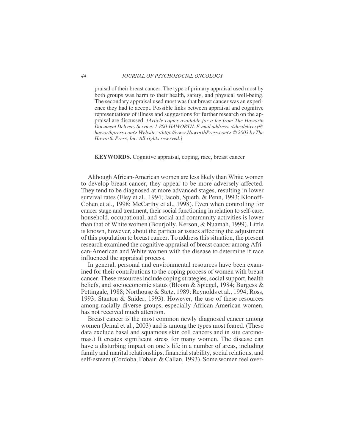praisal of their breast cancer. The type of primary appraisal used most by both groups was harm to their health, safety, and physical well-being. The secondary appraisal used most was that breast cancer was an experience they had to accept. Possible links between appraisal and cognitive representations of illness and suggestions for further research on the appraisal are discussed. *[Article copies available for a fee from The Haworth Document Delivery Service: 1-800-HAWORTH. E-mail address: <docdelivery@ haworthpress.com> Website: [<http://www.HaworthPress.com>](http://www.HaworthPress.com%3E%EF%9B%992003) 2003 by The Haworth Press, Inc. All rights reserved.]*

#### **KEYWORDS.** Cognitive appraisal, coping, race, breast cancer

Although African-American women are less likely than White women to develop breast cancer, they appear to be more adversely affected. They tend to be diagnosed at more advanced stages, resulting in lower survival rates (Eley et al., 1994; Jacob, Spieth, & Penn, 1993; Klonoff-Cohen et al., 1998; McCarthy et al., 1998). Even when controlling for cancer stage and treatment, their social functioning in relation to self-care, household, occupational, and social and community activities is lower than that of White women (Bourjolly, Kerson, & Nuamah, 1999). Little is known, however, about the particular issues affecting the adjustment of this population to breast cancer. To address this situation, the present research examined the cognitive appraisal of breast cancer among African-American and White women with the disease to determine if race influenced the appraisal process.

In general, personal and environmental resources have been examined for their contributions to the coping process of women with breast cancer. These resources include coping strategies, social support, health beliefs, and socioeconomic status (Bloom & Spiegel, 1984; Burgess & Pettingale, 1988; Northouse & Stetz, 1989; Reynolds et al., 1994; Ross, 1993; Stanton & Snider, 1993). However, the use of these resources among racially diverse groups, especially African-American women, has not received much attention.

Breast cancer is the most common newly diagnosed cancer among women (Jemal et al., 2003) and is among the types most feared. (These data exclude basal and squamous skin cell cancers and in situ carcinomas.) It creates significant stress for many women. The disease can have a disturbing impact on one's life in a number of areas, including family and marital relationships, financial stability, social relations, and self-esteem (Cordoba, Fobair, & Callan, 1993). Some women feel over-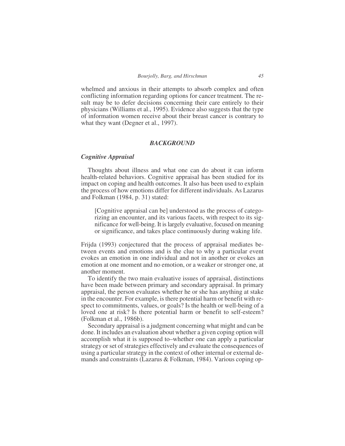whelmed and anxious in their attempts to absorb complex and often conflicting information regarding options for cancer treatment. The result may be to defer decisions concerning their care entirely to their physicians (Williams et al., 1995). Evidence also suggests that the type of information women receive about their breast cancer is contrary to what they want (Degner et al., 1997).

## *BACKGROUND*

## *Cognitive Appraisal*

Thoughts about illness and what one can do about it can inform health-related behaviors. Cognitive appraisal has been studied for its impact on coping and health outcomes. It also has been used to explain the process of how emotions differ for different individuals. As Lazarus and Folkman (1984, p. 31) stated:

[Cognitive appraisal can be] understood as the process of categorizing an encounter, and its various facets, with respect to its significance for well-being. It is largely evaluative, focused on meaning or significance, and takes place continuously during waking life.

Frijda (1993) conjectured that the process of appraisal mediates between events and emotions and is the clue to why a particular event evokes an emotion in one individual and not in another or evokes an emotion at one moment and no emotion, or a weaker or stronger one, at another moment.

To identify the two main evaluative issues of appraisal, distinctions have been made between primary and secondary appraisal. In primary appraisal, the person evaluates whether he or she has anything at stake in the encounter. For example, is there potential harm or benefit with respect to commitments, values, or goals? Is the health or well-being of a loved one at risk? Is there potential harm or benefit to self-esteem? (Folkman et al., 1986b).

Secondary appraisal is a judgment concerning what might and can be done. It includes an evaluation about whether a given coping option will accomplish what it is supposed to–whether one can apply a particular strategy or set of strategies effectively and evaluate the consequences of using a particular strategy in the context of other internal or external demands and constraints (Lazarus & Folkman, 1984). Various coping op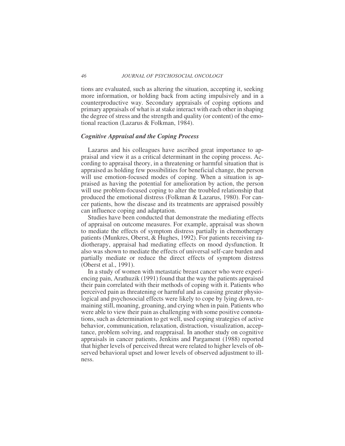tions are evaluated, such as altering the situation, accepting it, seeking more information, or holding back from acting impulsively and in a counterproductive way. Secondary appraisals of coping options and primary appraisals of what is at stake interact with each other in shaping the degree of stress and the strength and quality (or content) of the emotional reaction (Lazarus & Folkman, 1984).

#### *Cognitive Appraisal and the Coping Process*

Lazarus and his colleagues have ascribed great importance to appraisal and view it as a critical determinant in the coping process. According to appraisal theory, in a threatening or harmful situation that is appraised as holding few possibilities for beneficial change, the person will use emotion-focused modes of coping. When a situation is appraised as having the potential for amelioration by action, the person will use problem-focused coping to alter the troubled relationship that produced the emotional distress (Folkman & Lazarus, 1980). For cancer patients, how the disease and its treatments are appraised possibly can influence coping and adaptation.

Studies have been conducted that demonstrate the mediating effects of appraisal on outcome measures. For example, appraisal was shown to mediate the effects of symptom distress partially in chemotherapy patients (Munkres, Oberst, & Hughes, 1992). For patients receiving radiotherapy, appraisal had mediating effects on mood dysfunction. It also was shown to mediate the effects of universal self-care burden and partially mediate or reduce the direct effects of symptom distress (Oberst et al., 1991).

In a study of women with metastatic breast cancer who were experiencing pain, Arathuzik (1991) found that the way the patients appraised their pain correlated with their methods of coping with it. Patients who perceived pain as threatening or harmful and as causing greater physiological and psychosocial effects were likely to cope by lying down, remaining still, moaning, groaning, and crying when in pain. Patients who were able to view their pain as challenging with some positive connotations, such as determination to get well, used coping strategies of active behavior, communication, relaxation, distraction, visualization, acceptance, problem solving, and reappraisal. In another study on cognitive appraisals in cancer patients, Jenkins and Pargament (1988) reported that higher levels of perceived threat were related to higher levels of observed behavioral upset and lower levels of observed adjustment to illness.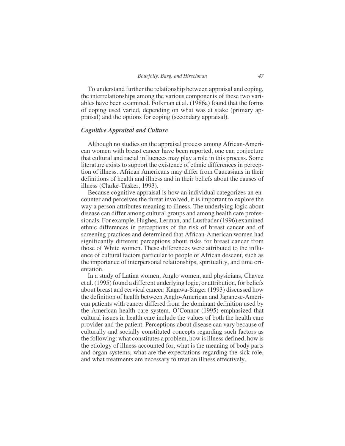To understand further the relationship between appraisal and coping, the interrelationships among the various components of these two variables have been examined. Folkman et al. (1986a) found that the forms of coping used varied, depending on what was at stake (primary appraisal) and the options for coping (secondary appraisal).

## *Cognitive Appraisal and Culture*

Although no studies on the appraisal process among African-American women with breast cancer have been reported, one can conjecture that cultural and racial influences may play a role in this process. Some literature exists to support the existence of ethnic differences in perception of illness. African Americans may differ from Caucasians in their definitions of health and illness and in their beliefs about the causes of illness (Clarke-Tasker, 1993).

Because cognitive appraisal is how an individual categorizes an encounter and perceives the threat involved, it is important to explore the way a person attributes meaning to illness. The underlying logic about disease can differ among cultural groups and among health care professionals. For example, Hughes, Lerman, and Lustbader (1996) examined ethnic differences in perceptions of the risk of breast cancer and of screening practices and determined that African-American women had significantly different perceptions about risks for breast cancer from those of White women. These differences were attributed to the influence of cultural factors particular to people of African descent, such as the importance of interpersonal relationships, spirituality, and time orientation.

In a study of Latina women, Anglo women, and physicians, Chavez et al. (1995) found a different underlying logic, or attribution, for beliefs about breast and cervical cancer. Kagawa-Singer (1993) discussed how the definition of health between Anglo-American and Japanese-American patients with cancer differed from the dominant definition used by the American health care system. O'Connor (1995) emphasized that cultural issues in health care include the values of both the health care provider and the patient. Perceptions about disease can vary because of culturally and socially constituted concepts regarding such factors as the following: what constitutes a problem, how is illness defined, how is the etiology of illness accounted for, what is the meaning of body parts and organ systems, what are the expectations regarding the sick role, and what treatments are necessary to treat an illness effectively.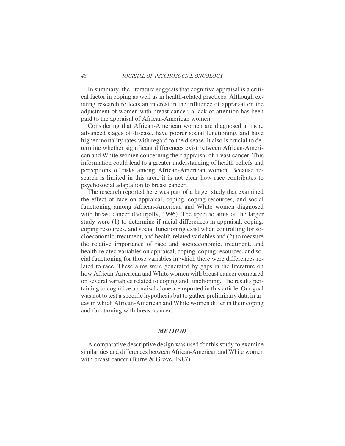#### *48 JOURNAL OF PSYCHOSOCIAL ONCOLOGY*

In summary, the literature suggests that cognitive appraisal is a critical factor in coping as well as in health-related practices. Although existing research reflects an interest in the influence of appraisal on the adjustment of women with breast cancer, a lack of attention has been paid to the appraisal of African-American women.

Considering that African-American women are diagnosed at more advanced stages of disease, have poorer social functioning, and have higher mortality rates with regard to the disease, it also is crucial to determine whether significant differences exist between African-American and White women concerning their appraisal of breast cancer. This information could lead to a greater understanding of health beliefs and perceptions of risks among African-American women. Because research is limited in this area, it is not clear how race contributes to psychosocial adaptation to breast cancer.

The research reported here was part of a larger study that examined the effect of race on appraisal, coping, coping resources, and social functioning among African-American and White women diagnosed with breast cancer (Bourjolly, 1996). The specific aims of the larger study were (1) to determine if racial differences in appraisal, coping, coping resources, and social functioning exist when controlling for socioeconomic, treatment, and health-related variables and (2) to measure the relative importance of race and socioeconomic, treatment, and health-related variables on appraisal, coping, coping resources, and social functioning for those variables in which there were differences related to race. These aims were generated by gaps in the literature on how African-American and White women with breast cancer compared on several variables related to coping and functioning. The results pertaining to cognitive appraisal alone are reported in this article. Our goal was not to test a specific hypothesis but to gather preliminary data in areas in which African-American and White women differ in their coping and functioning with breast cancer.

# *METHOD*

A comparative descriptive design was used for this study to examine similarities and differences between African-American and White women with breast cancer (Burns & Grove, 1987).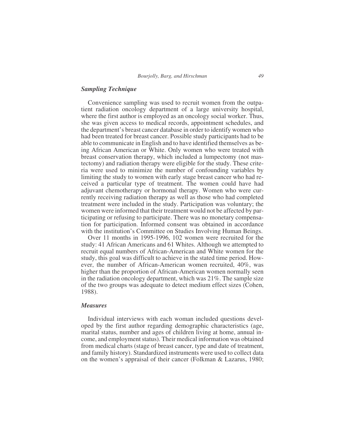## *Sampling Technique*

Convenience sampling was used to recruit women from the outpatient radiation oncology department of a large university hospital, where the first author is employed as an oncology social worker. Thus, she was given access to medical records, appointment schedules, and the department's breast cancer database in order to identify women who had been treated for breast cancer. Possible study participants had to be able to communicate in English and to have identified themselves as being African American or White. Only women who were treated with breast conservation therapy, which included a lumpectomy (not mastectomy) and radiation therapy were eligible for the study. These criteria were used to minimize the number of confounding variables by limiting the study to women with early stage breast cancer who had received a particular type of treatment. The women could have had adjuvant chemotherapy or hormonal therapy. Women who were currently receiving radiation therapy as well as those who had completed treatment were included in the study. Participation was voluntary; the women were informed that their treatment would not be affected by participating or refusing to participate. There was no monetary compensation for participation. Informed consent was obtained in accordance with the institution's Committee on Studies Involving Human Beings.

Over 11 months in 1995-1996, 102 women were recruited for the study: 41 African Americans and 61 Whites. Although we attempted to recruit equal numbers of African-American and White women for the study, this goal was difficult to achieve in the stated time period. However, the number of African-American women recruited, 40%, was higher than the proportion of African-American women normally seen in the radiation oncology department, which was 21%. The sample size of the two groups was adequate to detect medium effect sizes (Cohen, 1988).

#### *Measures*

Individual interviews with each woman included questions developed by the first author regarding demographic characteristics (age, marital status, number and ages of children living at home, annual income, and employment status). Their medical information was obtained from medical charts (stage of breast cancer, type and date of treatment, and family history). Standardized instruments were used to collect data on the women's appraisal of their cancer (Folkman & Lazarus, 1980;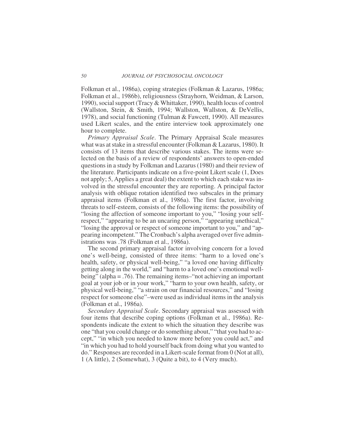Folkman et al., 1986a), coping strategies (Folkman & Lazarus, 1986a; Folkman et al., 1986b), religiousness (Strayhorn, Weidman, & Larson, 1990), social support (Tracy & Whittaker, 1990), health locus of control (Wallston, Stein, & Smith, 1994; Wallston, Wallston, & DeVellis, 1978), and social functioning (Tulman & Fawcett, 1990). All measures used Likert scales, and the entire interview took approximately one hour to complete.

*Primary Appraisal Scale*. The Primary Appraisal Scale measures what was at stake in a stressful encounter (Folkman & Lazarus, 1980). It consists of 13 items that describe various stakes. The items were selected on the basis of a review of respondents' answers to open-ended questions in a study by Folkman and Lazarus (1980) and their review of the literature. Participants indicate on a five-point Likert scale (1, Does not apply; 5, Applies a great deal) the extent to which each stake was involved in the stressful encounter they are reporting. A principal factor analysis with oblique rotation identified two subscales in the primary appraisal items (Folkman et al., 1986a). The first factor, involving threats to self-esteem, consists of the following items: the possibility of "losing the affection of someone important to you," "losing your selfrespect," "appearing to be an uncaring person," "appearing unethical," "losing the approval or respect of someone important to you," and "appearing incompetent." The Cronbach's alpha averaged over five administrations was .78 (Folkman et al., 1986a).

The second primary appraisal factor involving concern for a loved one's well-being, consisted of three items: "harm to a loved one's health, safety, or physical well-being," "a loved one having difficulty getting along in the world," and "harm to a loved one's emotional wellbeing" (alpha = .76). The remaining items–"not achieving an important goal at your job or in your work," "harm to your own health, safety, or physical well-being," "a strain on our financial resources," and "losing respect for someone else"–were used as individual items in the analysis (Folkman et al., 1986a).

*Secondary Appraisal Scale*. Secondary appraisal was assessed with four items that describe coping options (Folkman et al., 1986a). Respondents indicate the extent to which the situation they describe was one "that you could change or do something about," "that you had to accept," "in which you needed to know more before you could act," and "in which you had to hold yourself back from doing what you wanted to do." Responses are recorded in a Likert-scale format from 0 (Not at all), 1 (A little), 2 (Somewhat), 3 (Quite a bit), to 4 (Very much).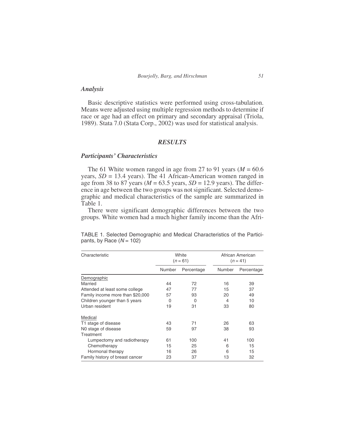## *Analysis*

Basic descriptive statistics were performed using cross-tabulation. Means were adjusted using multiple regression methods to determine if race or age had an effect on primary and secondary appraisal (Triola, 1989). Stata 7.0 (Stata Corp., 2002) was used for statistical analysis.

# *RESULTS*

#### *Participants' Characteristics*

The 61 White women ranged in age from 27 to 91 years ( $M = 60.6$ ) years, *SD* = 13.4 years). The 41 African-American women ranged in age from 38 to 87 years ( $M = 63.5$  years,  $SD = 12.9$  years). The difference in age between the two groups was not significant. Selected demographic and medical characteristics of the sample are summarized in Table 1.

There were significant demographic differences between the two groups. White women had a much higher family income than the Afri-

| Characteristic                   | White<br>$(n = 61)$ |            | African American<br>$(n = 41)$ |            |
|----------------------------------|---------------------|------------|--------------------------------|------------|
|                                  | <b>Number</b>       | Percentage | <b>Number</b>                  | Percentage |
| Demographic                      |                     |            |                                |            |
| Married                          | 44                  | 72         | 16                             | 39         |
| Attended at least some college   | 47                  | 77         | 15                             | 37         |
| Family income more than \$20,000 | 57                  | 93         | 20                             | 49         |
| Children younger than 5 years    | $\Omega$            | $\Omega$   | 4                              | 10         |
| Urban resident                   | 19                  | 31         | 33                             | 80         |
| Medical                          |                     |            |                                |            |
| T1 stage of disease              | 43                  | 71         | 26                             | 63         |
| N0 stage of disease              | 59                  | 97         | 38                             | 93         |
| Treatment                        |                     |            |                                |            |
| Lumpectomy and radiotherapy      | 61                  | 100        | 41                             | 100        |
| Chemotherapy                     | 15                  | 25         | 6                              | 15         |
| Hormonal therapy                 | 16                  | 26         | 6                              | 15         |
| Family history of breast cancer  | 23                  | 37         | 13                             | 32         |

TABLE 1. Selected Demographic and Medical Characteristics of the Participants, by Race  $(N = 102)$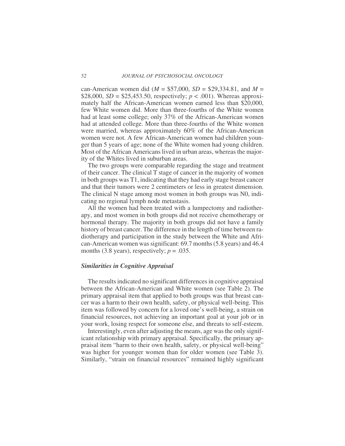can-American women did ( $M = $57,000$ ,  $SD = $29,334.81$ , and  $M =$ \$28,000,  $SD = $25,453.50$ , respectively;  $p < .001$ ). Whereas approximately half the African-American women earned less than \$20,000, few White women did. More than three-fourths of the White women had at least some college; only 37% of the African-American women had at attended college. More than three-fourths of the White women were married, whereas approximately 60% of the African-American women were not. A few African-American women had children younger than 5 years of age; none of the White women had young children. Most of the African Americans lived in urban areas, whereas the majority of the Whites lived in suburban areas.

The two groups were comparable regarding the stage and treatment of their cancer. The clinical T stage of cancer in the majority of women in both groups was T1, indicating that they had early stage breast cancer and that their tumors were 2 centimeters or less in greatest dimension. The clinical N stage among most women in both groups was N0, indicating no regional lymph node metastasis.

All the women had been treated with a lumpectomy and radiotherapy, and most women in both groups did not receive chemotherapy or hormonal therapy. The majority in both groups did not have a family history of breast cancer. The difference in the length of time between radiotherapy and participation in the study between the White and African-American women was significant: 69.7 months (5.8 years) and 46.4 months (3.8 years), respectively;  $p = .035$ .

## *Similarities in Cognitive Appraisal*

The results indicated no significant differences in cognitive appraisal between the African-American and White women (see Table 2). The primary appraisal item that applied to both groups was that breast cancer was a harm to their own health, safety, or physical well-being. This item was followed by concern for a loved one's well-being, a strain on financial resources, not achieving an important goal at your job or in your work, losing respect for someone else, and threats to self-esteem.

Interestingly, even after adjusting the means, age was the only significant relationship with primary appraisal. Specifically, the primary appraisal item "harm to their own health, safety, or physical well-being" was higher for younger women than for older women (see Table 3). Similarly, "strain on financial resources" remained highly significant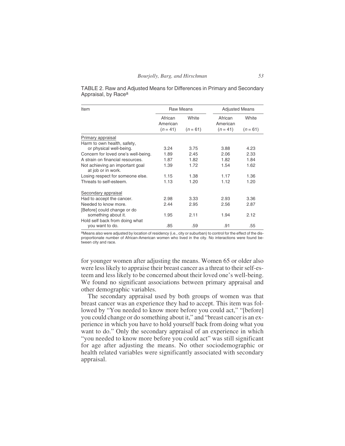| Item                                                  | <b>Raw Means</b>    |            |                     | <b>Adjusted Means</b> |  |
|-------------------------------------------------------|---------------------|------------|---------------------|-----------------------|--|
|                                                       | African<br>American | White      | African<br>American | White                 |  |
|                                                       | $(n = 41)$          | $(n = 61)$ | $(n = 41)$          | $(n = 61)$            |  |
| Primary appraisal                                     |                     |            |                     |                       |  |
| Harm to own health, safety,                           |                     |            |                     |                       |  |
| or physical well-being.                               | 3.24                | 3.75       | 3.88                | 4.23                  |  |
| Concern for loved one's well-being.                   | 1.89                | 2.45       | 2.06                | 2.33                  |  |
| A strain on financial resources.                      | 1.87                | 1.82       | 1.82                | 1.84                  |  |
| Not achieving an important goal<br>at job or in work. | 1.39                | 1.72       | 1.54                | 1.62                  |  |
| Losing respect for someone else.                      | 1.15                | 1.38       | 1.17                | 1.36                  |  |
| Threats to self-esteem.                               | 1.13                | 1.20       | 1.12                | 1.20                  |  |
| Secondary appraisal                                   |                     |            |                     |                       |  |
| Had to accept the cancer.                             | 2.98                | 3.33       | 2.93                | 3.36                  |  |
| Needed to know more.                                  | 2.44                | 2.95       | 2.56                | 2.87                  |  |
| [Before] could change or do                           |                     |            |                     |                       |  |
| something about it.                                   | 1.95                | 2.11       | 1.94                | 2.12                  |  |
| Hold self back from doing what                        |                     |            |                     |                       |  |
| you want to do.                                       | .85                 | .59        | .91                 | .55                   |  |

TABLE 2. Raw and Adjusted Means for Differences in Primary and Secondary Appraisal, by Race<sup>a</sup>

aMeans also were adjusted by location of residency (i.e., city or suburban) to control for the effect of the disproportionate number of African-American women who lived in the city. No interactions were found between city and race.

for younger women after adjusting the means. Women 65 or older also were less likely to appraise their breast cancer as a threat to their self-esteem and less likely to be concerned about their loved one's well-being. We found no significant associations between primary appraisal and other demographic variables.

The secondary appraisal used by both groups of women was that breast cancer was an experience they had to accept. This item was followed by "You needed to know more before you could act," "[before] you could change or do something about it," and "breast cancer is an experience in which you have to hold yourself back from doing what you want to do." Only the secondary appraisal of an experience in which "you needed to know more before you could act" was still significant for age after adjusting the means. No other sociodemographic or health related variables were significantly associated with secondary appraisal.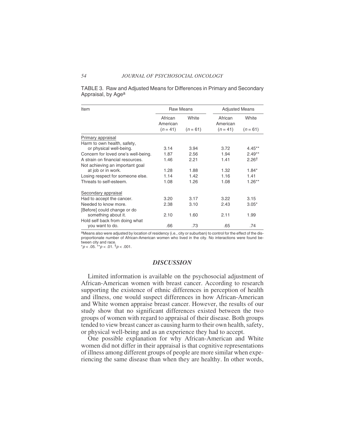TABLE 3. Raw and Adjusted Means for Differences in Primary and Secondary Appraisal, by Age<sup>a</sup>

| Item                                | <b>Raw Means</b>                  |                     | <b>Adjusted Means</b>             |                     |
|-------------------------------------|-----------------------------------|---------------------|-----------------------------------|---------------------|
|                                     | African<br>American<br>$(n = 41)$ | White<br>$(n = 61)$ | African<br>American<br>$(n = 41)$ | White<br>$(n = 61)$ |
| Primary appraisal                   |                                   |                     |                                   |                     |
| Harm to own health, safety,         |                                   |                     |                                   |                     |
| or physical well-being.             | 3.14                              | 3.94                | 3.72                              | $4.45**$            |
| Concern for loved one's well-being. | 1.87                              | 2.56                | 1.94                              | $2.49**$            |
| A strain on financial resources.    | 1.46                              | 2.21                | 1.41                              | 2.26 <sup>†</sup>   |
| Not achieving an important goal     |                                   |                     |                                   |                     |
| at job or in work.                  | 1.28                              | 1.88                | 1.32                              | $1.84*$             |
| Losing respect for someone else.    | 1.14                              | 1.42                | 1.16                              | 1.41                |
| Threats to self-esteem.             | 1.08                              | 1.26                | 1.08                              | $1.26**$            |
| Secondary appraisal                 |                                   |                     |                                   |                     |
| Had to accept the cancer.           | 3.20                              | 3.17                | 3.22                              | 3.15                |
| Needed to know more.                | 2.38                              | 3.10                | 2.43                              | $3.05*$             |
| [Before] could change or do         |                                   |                     |                                   |                     |
| something about it.                 | 2.10                              | 1.60                | 2.11                              | 1.99                |
| Hold self back from doing what      |                                   |                     |                                   |                     |
| you want to do.                     | .66                               | .73                 | .65                               | .74                 |

aMeans also were adjusted by location of residency (i.e., city or suburban) to control for the effect of the disproportionate number of African-American women who lived in the city. No interactions were found between city and race.<br>\*p < .05. \*\*p < .01. <sup>†</sup>p < .001.

# *DISCUSSION*

Limited information is available on the psychosocial adjustment of African-American women with breast cancer. According to research supporting the existence of ethnic differences in perception of health and illness, one would suspect differences in how African-American and White women appraise breast cancer. However, the results of our study show that no significant differences existed between the two groups of women with regard to appraisal of their disease. Both groups tended to view breast cancer as causing harm to their own health, safety, or physical well-being and as an experience they had to accept.

One possible explanation for why African-American and White women did not differ in their appraisal is that cognitive representations of illness among different groups of people are more similar when experiencing the same disease than when they are healthy. In other words,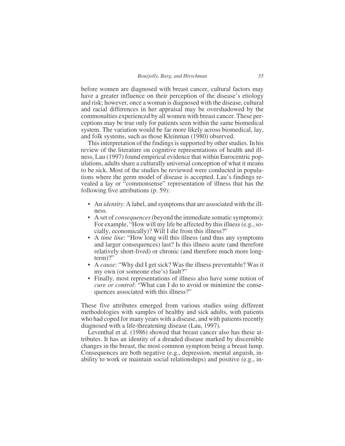before women are diagnosed with breast cancer, cultural factors may have a greater influence on their perception of the disease's etiology and risk; however, once a woman is diagnosed with the disease, cultural and racial differences in her appraisal may be overshadowed by the commonalties experienced by all women with breast cancer. These perceptions may be true only for patients seen within the same biomedical system. The variation would be far more likely across biomedical, lay, and folk systems, such as those Kleinman (1980) observed.

This interpretation of the findings is supported by other studies. In his review of the literature on cognitive representations of health and illness, Lau (1997) found empirical evidence that within Eurocentric populations, adults share a culturally universal conception of what it means to be sick. Most of the studies he reviewed were conducted in populations where the germ model of disease is accepted. Lau's findings revealed a lay or "commonsense" representation of illness that has the following five attributions (p. 59):

- An *identity*: A label, and symptoms that are associated with the illness.
- A set of *consequences*(beyond the immediate somatic symptoms): For example, "How will my life be affected by this illness (e.g., socially, economically)? Will I die from this illness?"
- A *time line*: "How long will this illness (and thus any symptoms and larger consequences) last? Is this illness acute (and therefore relatively short-lived) or chronic (and therefore much more longterm)?"
- A *cause*: "Why did I get sick? Was the illness preventable? Was it my own (or someone else's) fault?"
- Finally, most representations of illness also have some notion of *cure or control*: "What can I do to avoid or minimize the consequences associated with this illness?"

These five attributes emerged from various studies using different methodologies with samples of healthy and sick adults, with patients who had coped for many years with a disease, and with patients recently diagnosed with a life-threatening disease (Lau, 1997).

Leventhal et al. (1986) showed that breast cancer also has these attributes. It has an identity of a dreaded disease marked by discernible changes in the breast, the most common symptom being a breast lump. Consequences are both negative (e.g., depression, mental anguish, inability to work or maintain social relationships) and positive (e.g., in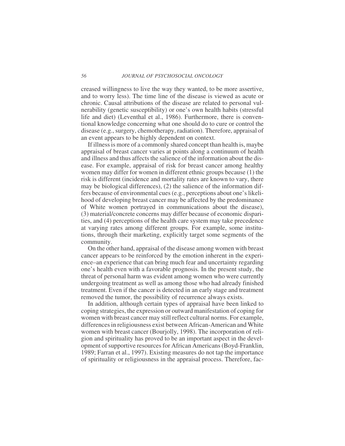creased willingness to live the way they wanted, to be more assertive, and to worry less). The time line of the disease is viewed as acute or chronic. Causal attributions of the disease are related to personal vulnerability (genetic susceptibility) or one's own health habits (stressful life and diet) (Leventhal et al., 1986). Furthermore, there is conventional knowledge concerning what one should do to cure or control the disease (e.g., surgery, chemotherapy, radiation). Therefore, appraisal of an event appears to be highly dependent on context.

If illness is more of a commonly shared concept than health is, maybe appraisal of breast cancer varies at points along a continuum of health and illness and thus affects the salience of the information about the disease. For example, appraisal of risk for breast cancer among healthy women may differ for women in different ethnic groups because (1) the risk is different (incidence and mortality rates are known to vary, there may be biological differences), (2) the salience of the information differs because of environmental cues (e.g., perceptions about one's likelihood of developing breast cancer may be affected by the predominance of White women portrayed in communications about the disease), (3) material/concrete concerns may differ because of economic disparities, and (4) perceptions of the health care system may take precedence at varying rates among different groups. For example, some institutions, through their marketing, explicitly target some segments of the community.

On the other hand, appraisal of the disease among women with breast cancer appears to be reinforced by the emotion inherent in the experience–an experience that can bring much fear and uncertainty regarding one's health even with a favorable prognosis. In the present study, the threat of personal harm was evident among women who were currently undergoing treatment as well as among those who had already finished treatment. Even if the cancer is detected in an early stage and treatment removed the tumor, the possibility of recurrence always exists.

In addition, although certain types of appraisal have been linked to coping strategies, the expression or outward manifestation of coping for women with breast cancer may still reflect cultural norms. For example, differences in religiousness exist between African-American and White women with breast cancer (Bourjolly, 1998). The incorporation of religion and spirituality has proved to be an important aspect in the development of supportive resources for African Americans (Boyd-Franklin, 1989; Farran et al., 1997). Existing measures do not tap the importance of spirituality or religiousness in the appraisal process. Therefore, fac-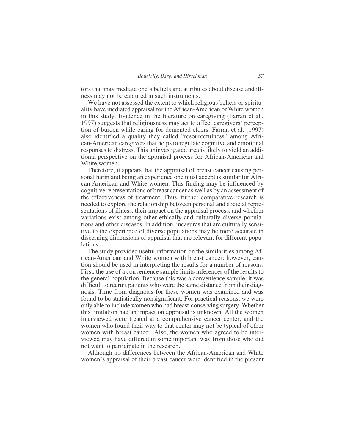tors that may mediate one's beliefs and attributes about disease and illness may not be captured in such instruments.

We have not assessed the extent to which religious beliefs or spirituality have mediated appraisal for the African-American or White women in this study. Evidence in the literature on caregiving (Farran et al., 1997) suggests that religiousness may act to affect caregivers' perception of burden while caring for demented elders. Farran et al. (1997) also identified a quality they called "resourcefulness" among African-American caregivers that helps to regulate cognitive and emotional responses to distress. This uninvestigated area is likely to yield an additional perspective on the appraisal process for African-American and White women.

Therefore, it appears that the appraisal of breast cancer causing personal harm and being an experience one must accept is similar for African-American and White women. This finding may be influenced by cognitive representations of breast cancer as well as by an assessment of the effectiveness of treatment. Thus, further comparative research is needed to explore the relationship between personal and societal representations of illness, their impact on the appraisal process, and whether variations exist among other ethically and culturally diverse populations and other diseases. In addition, measures that are culturally sensitive to the experience of diverse populations may be more accurate in discerning dimensions of appraisal that are relevant for different populations.

The study provided useful information on the similarities among African-American and White women with breast cancer: however, caution should be used in interpreting the results for a number of reasons. First, the use of a convenience sample limits inferences of the results to the general population. Because this was a convenience sample, it was difficult to recruit patients who were the same distance from their diagnosis. Time from diagnosis for these women was examined and was found to be statistically nonsignificant. For practical reasons, we were only able to include women who had breast-conserving surgery. Whether this limitation had an impact on appraisal is unknown. All the women interviewed were treated at a comprehensive cancer center, and the women who found their way to that center may not be typical of other women with breast cancer. Also, the women who agreed to be interviewed may have differed in some important way from those who did not want to participate in the research.

Although no differences between the African-American and White women's appraisal of their breast cancer were identified in the present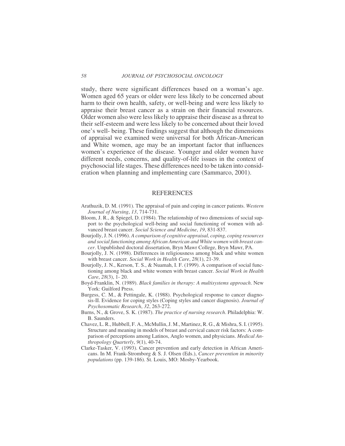study, there were significant differences based on a woman's age. Women aged 65 years or older were less likely to be concerned about harm to their own health, safety, or well-being and were less likely to appraise their breast cancer as a strain on their financial resources. Older women also were less likely to appraise their disease as a threat to their self-esteem and were less likely to be concerned about their loved one's well- being. These findings suggest that although the dimensions of appraisal we examined were universal for both African-American and White women, age may be an important factor that influences women's experience of the disease. Younger and older women have different needs, concerns, and quality-of-life issues in the context of psychosocial life stages. These differences need to be taken into consideration when planning and implementing care (Sammarco, 2001).

#### REFERENCES

- Arathuzik, D. M. (1991). The appraisal of pain and coping in cancer patients. *Western Journal of Nursing*, *13*, 714-731.
- Bloom, J. R., & Spiegel, D. (1984). The relationship of two dimensions of social support to the psychological well-being and social functioning of women with advanced breast cancer. *Social Science and Medicine*, *19*, 831-837.
- Bourjolly, J. N. (1996). *A comparison of cognitive appraisal, coping, coping resources and social functioning among African American and White women with breast cancer*. Unpublished doctoral dissertation, Bryn Mawr College, Bryn Mawr, PA.
- Bourjolly, J. N. (1998). Differences in religiousness among black and white women with breast cancer. *Social Work in Health Care*, *28*(1), 21-39.
- Bourjolly, J. N., Kerson, T. S., & Nuamah, I. F. (1999). A comparison of social functioning among black and white women with breast cancer. *Social Work in Health Care*, *28*(3), 1- 20.
- Boyd-Franklin, N. (1989). *Black families in therapy: A multisystems approach*. New York: Guilford Press.
- Burgess, C. M., & Pettingale, K. (1988). Psychological response to cancer diagnosis-II. Evidence for coping styles (Coping styles and cancer diagnosis). *Journal of Psychosomatic Research*, *32*, 263-272.
- Burns, N., & Grove, S. K. (1987). *The practice of nursing research*. Philadelphia: W. B. Saunders.
- Chavez, L. R., Hubbell, F. A., McMullin, J. M., Martinez, R. G., & Mishra, S. I. (1995). Structure and meaning in models of breast and cervical cancer risk factors: A comparison of perceptions among Latinos, Anglo women, and physicians. *Medical Anthropology Quarterly*, *9*(1), 40-74.
- Clarke-Tasker, V. (1993). Cancer prevention and early detection in African Americans. In M. Frank-Stromborg & S. J. Olsen (Eds.), *Cancer prevention in minority populations* (pp. 139-186). St. Louis, MO: Mosby-Yearbook.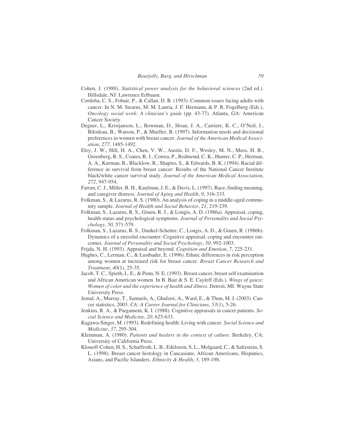- Cohen, J. (1988). *Statistical power analysis for the behavioral sciences* (2nd ed.). Hillsdale, NJ: Lawrence Erlbaum.
- Cordoba, C. S., Fobair, P., & Callan, D. B. (1993). Common issues facing adults with cancer. In N. M. Stearns, M. M. Lauria, J. F. Hermann, & P. R. Fogelberg (Eds.), *Oncology social work: A clinician's guide* (pp. 43-77). Atlanta, GA: American Cancer Society.
- Degner, L., Kristjanson, L., Bowman, D., Sloan, J. A., Carriere, K. C., O'Neil, J., Bilodeau, B., Watson, P., & Mueller, B. (1997). Information needs and decisional preferences in women with breast cancer. *Journal of the American Medical Association*, *277*, 1485-1492.
- Eley, J. W., Hill, H. A., Chen, V. W., Austin, D. F., Wesley, M. N., Muss, H. B., Greenberg, R. S., Coates, R. J., Correa, P., Redmond, C. K., Hunter, C. P., Herman, A. A., Kurman, R., Blacklow, R., Shapiro, S., & Edwards, B. K. (1994). Racial difference in survival from breast cancer: Results of the National Cancer Institute black/white cancer survival study. *Journal of the American Medical Association*, *272*, 947-954.
- Farran, C. J., Miller, B. H., Kaufman, J. E., & Davis, L. (1997). Race, finding meaning, and caregiver distress. *Journal of Aging and Health*, *9*, 316-333.
- Folkman, S., & Lazarus, R. S. (1980). An analysis of coping in a middle-aged community sample. *Journal of Health and Social Behavior*, *21*, 219-239.
- Folkman, S., Lazarus, R. S., Gruen, R. J., & Longis, A. D. (1986a). Appraisal, coping, health status and psychological symptoms. *Journal of Personality and Social Psychology*, *50*, 571-579.
- Folkman, S., Lazarus, R. S., Dunkel-Schetter, C., Longis, A. D., & Gruen, R. (1986b). Dynamics of a stressful encounter: Cognitive appraisal, coping and encounter outcomes. *Journal of Personality and Social Psychology*, *50*, 992-1003.
- Frijda, N. H. (1993). Appraisal and beyond. *Cognition and Emotion*, *7*, 225-231.
- Hughes, C., Lerman, C., & Lustbader, E. (1996). Ethnic differences in risk perception among women at increased risk for breast cancer. *Breast Cancer Research and Treatment*, *40*(1), 25-35.
- Jacob, T. C., Spieth, L. E., & Penn, N. E. (1993). Breast cancer, breast self examination and African American women. In B. Bair & S. E. Cayleff (Eds.), *Wings of gauze: Women of color and the experience of health and illness*. Detroit, MI: Wayne State University Press.
- Jemal, A., Murray, T., Samuels, A., Ghafoor, A., Ward, E., & Thun, M. J. (2003). Cancer statistics, 2003. *CA: A Career Journal for Clinicians*, *53*(1), 5-26.
- Jenkins, R. A., & Pargament, K. I. (1988). Cognitive appraisals in cancer patients. *Social Science and Medicine*, *20*, 625-633.
- Kagawa-Singer, M. (1993). Redefining health: Living with cancer. *Social Science and Medicine*, *37*, 295-304.
- Kleinman, A. (1980). *Patients and healers in the context of culture*. Berkeley, CA: University of California Press.
- Klonoff-Cohen, H. S., Schaffroth, L. B., Edelstein, S. L., Molgaard, C., & Saltzstein, S. L. (1998). Breast cancer histology in Caucasians, African Americans, Hispanics, Asians, and Pacific Islanders. *Ethnicity & Health*, *3*, 189-198.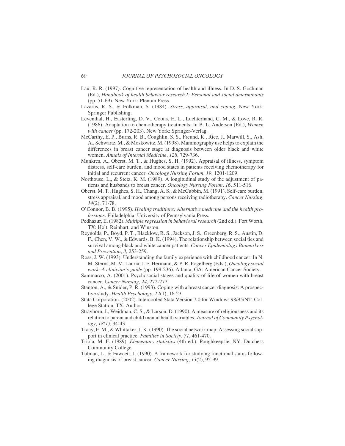- Lau, R. R. (1997). Cognitive representation of health and illness. In D. S. Gochman (Ed.), *Handbook of health behavior research I: Personal and social determinants* (pp. 51-69). New York: Plenum Press.
- Lazarus, R. S., & Folkman, S. (1984). *Stress, appraisal, and coping*. New York: Springer Publishing.
- Leventhal, H., Easterling, D. V., Coons, H. L., Luchterhand, C. M., & Love, R. R. (1986). Adaptation to chemotherapy treatments. In B. L. Andersen (Ed.), *Women with cancer* (pp. 172-203). New York: Springer-Verlag.
- McCarthy, E. P., Burns, R. B., Coughlin, S. S., Freund, K., Rice, J., Marwill, S., Ash, A., Schwartz, M., & Moskowitz, M. (1998). Mammography use helps to explain the differences in breast cancer stage at diagnosis between older black and white women. *Annals of Internal Medicine*, *128*, 729-736.
- Munkres, A., Oberst, M. T., & Hughes, S. H. (1992). Appraisal of illness, symptom distress, self-care burden, and mood states in patients receiving chemotherapy for initial and recurrent cancer. *Oncology Nursing Forum*, *19*, 1201-1209.
- Northouse, L., & Stetz, K. M. (1989). A longitudinal study of the adjustment of patients and husbands to breast cancer. *Oncology Nursing Forum*, *16*, 511-516.
- Oberst, M. T., Hughes, S. H., Chang, A. S., & McCubbin, M. (1991). Self-care burden, stress appraisal, and mood among persons receiving radiotherapy. *Cancer Nursing*, *14*(2), 71-78.
- O'Connor, B. B. (1995). *Healing traditions: Alternative medicine and the health professions*. Philadelphia: University of Pennsylvania Press.
- Pedhazur, E. (1982). *Multiple regression in behavioral research* (2nd ed.). Fort Worth, TX: Holt, Reinhart, and Winston.
- Reynolds, P., Boyd, P. T., Blacklow, R. S., Jackson, J. S., Greenberg, R. S., Austin, D. F., Chen, V. W., & Edwards, B. K. (1994). The relationship between social ties and survival among black and white cancer patients. *Cancer Epidemiology Biomarkers and Prevention*, *3*, 253-259.
- Ross, J. W. (1993). Understanding the family experience with childhood cancer. In N. M. Sterns, M. M. Lauria, J. F. Hermann, & P. R. Fogelberg (Eds.), *Oncology social work: A clinician's guide* (pp. 199-236). Atlanta, GA: American Cancer Society.
- Sammarco, A. (2001). Psychosocial stages and quality of life of women with breast cancer. *Cancer Nursing*, *24*, 272-277.
- Stanton, A., & Snider, P. R. (1993). Coping with a breast cancer diagnosis: A prospective study. *Health Psychology*, *12*(1), 16-23.
- Stata Corporation. (2002). Intercooled Stata Version 7.0 for Windows 98/95/NT. College Station, TX: Author.
- Strayhorn, J., Weidman, C. S., & Larson, D. (1990). A measure of religiousness and its relation to parent and child mental health variables. *Journal of Community Psychology*, *18(1)*, 34-43.
- Tracy, E. M., & Whittaker, J. K. (1990). The social network map: Assessing social support in clinical practice. *Families in Society*, *71*, 461-470.
- Triola, M. F. (1989). *Elementary statistics* (4th ed.). Poughkeepsie, NY: Dutchess Community College.
- Tulman, L., & Fawcett, J. (1990). A framework for studying functional status following diagnosis of breast cancer. *Cancer Nursing*, *13*(2), 95-99.